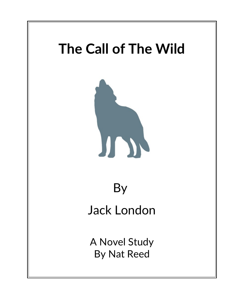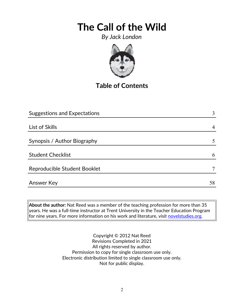*By Jack London*



**Table of Contents**

| <b>Suggestions and Expectations</b> | 3  |
|-------------------------------------|----|
|                                     |    |
| List of Skills                      |    |
|                                     |    |
| Synopsis / Author Biography         | 5  |
|                                     |    |
| <b>Student Checklist</b>            | 6  |
| Reproducible Student Booklet        |    |
|                                     |    |
| Answer Key                          | 58 |

**About the author:** Nat Reed was a member of the teaching profession for more than 35 years. He was a full-time instructor at Trent University in the Teacher Education Program for nine years. For more information on his work and literature, visit [novelstudies.org.](http://www.novelstudies.org/)

> Copyright © 2012 Nat Reed Revisions Completed in 2021 All rights reserved by author. Permission to copy for single classroom use only. Electronic distribution limited to single classroom use only. Not for public display.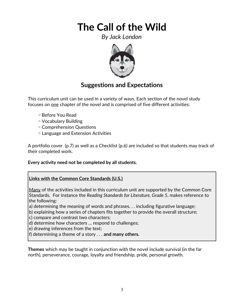*By Jack London*



## **Suggestions and Expectations**

This curriculum unit can be used in a variety of ways. Each section of the novel study focuses on one chapter of the novel and is comprised of five different activities:

- ◦Before You Read
- ◦Vocabulary Building
- ◦Comprehension Questions
- ◦Language and Extension Activities

A portfolio cover (p.7) as well as a Checklist (p.6) are included so that students may track of their completed work.

#### **Every activity need not be completed by all students.**

#### **Links with the Common Core Standards (U.S.)**

Many of the activities included in this curriculum unit are supported by the Common Core Standards. For instance the *Reading Standards for Literature, Grade 5*, makes reference to the following:

- a) determining the meaning of words and phrases. . . including figurative language;
- b) explaining how a series of chapters fits together to provide the overall structure;
- c) compare and contrast two characters;
- d) determine how characters … respond to challenges;
- e) drawing inferences from the text;
- f) determining a theme of a story . . . **and many others.**

**Themes** which may be taught in conjunction with the novel include survival (in the far north), perseverance, courage, loyalty and friendship, pride, personal growth.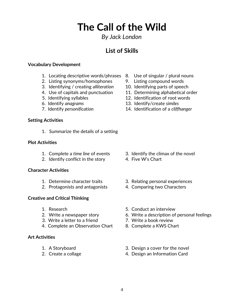### *By Jack London*

## **List of Skills**

#### **Vocabulary Development**

- 1. Locating descriptive words/phrases 8. Use of singular / plural nouns
- 2. Listing synonyms/homophones 9. Listing compound words
- 3. Identifying / creating *alliteration* 10. Identifying parts of speech
- 
- 
- 
- 

#### **Setting Activities**

1. Summarize the details of a setting

#### **Plot Activities**

- 
- 2. Identify conflict in the story 4. Five W's Chart

#### **Character Activities**

- 
- 2. Protagonists and antagonists 4. Comparing two Characters

#### **Creative and Critical Thinking**

- 
- 
- 3. Write a letter to a friend **7.** Write a book review
- 4. Complete an Observation Chart 8. Complete a KWS Chart

#### **Art Activities**

- 
- 
- 
- 
- 
- 4. Use of capitals and punctuation 11. Determining alphabetical order
- 5. Identifying syllables 12. Identification of root words
- 6. Identify *anagrams* 13. Identify/create *similes*
- 7. Identify *personification* 14. Identification of a *cliffhanger*

- 1. Complete a *time line* of events 3. Identify the climax of the novel
	-
- 1. Determine character traits 3. Relating personal experiences
	-
- 1. Research 5. Conduct an interview
- 2. Write a newspaper story 6. Write a description of personal feelings
	-
	-
- 1. A Storyboard 3. Design a cover for the novel
- 2. Create a collage 2. Create a collage 4. Design an Information Card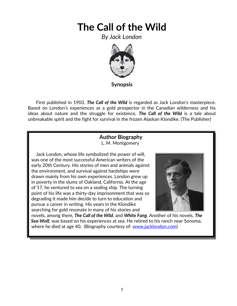*By Jack London*



**Synopsis**

 First published in 1903, *The Call of the Wild* is regarded as Jack London's masterpiece. Based on London's experiences as a gold prospector in the Canadian wilderness and his ideas about nature and the struggle for existence, *The Call of the Wild* is a tale about unbreakable spirit and the fight for survival in the frozen Alaskan Klondike. (The Publisher)

#### **Author Biography** L. M. Montgomery

 Jack London, whose life symbolized the power of will, was one of the most successful American writers of the early 20th Century. His stories of men and animals against the environment, and survival against hardships were drawn mainly from his own experiences. London grew up in poverty in the slums of Oakland, California. At the age of 17, he ventured to sea on a sealing ship. The turning point of his life was a thirty-day imprisonment that was so degrading it made him decide to turn to [education](http://www.jacklondon.com/) and pursue a [career](http://www.jacklondon.com/) in writing. His years in the Klondike searching for gold resonate in many of his stories and



 novels, among them, *The Call of the Wild*, and *White Fang*. Another of his novels, *The Sea-Wolf*, was based on his experiences at sea. He [retired](http://www.jacklondon.com/) to his ranch near Sonoma, where he died at age 40**.** (Biography courtesy of: [www.jacklondon.com\)](http://www.jacklondon.com/)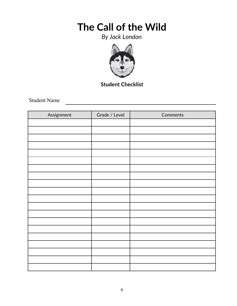*By Jack London*



**Student Checklist**

Student Name

| Assignment | Grade / Level | Comments |
|------------|---------------|----------|
|            |               |          |
|            |               |          |
|            |               |          |
|            |               |          |
|            |               |          |
|            |               |          |
|            |               |          |
|            |               |          |
|            |               |          |
|            |               |          |
|            |               |          |
|            |               |          |
|            |               |          |
|            |               |          |
|            |               |          |
|            |               |          |
|            |               |          |
|            |               |          |
|            |               |          |
|            |               |          |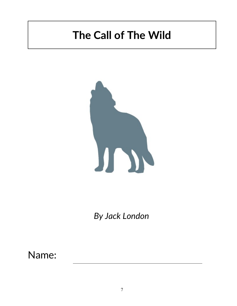

*By Jack London*

Name: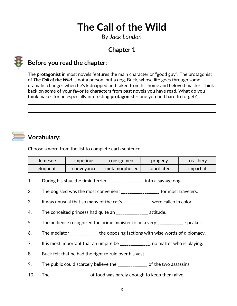*By Jack London*

## **Chapter 1**



## **Before you read the chapter**:

The **protagonist** in most novels features the main character or "good guy". The protagonist of *The Call of the Wild* is not a person, but a dog, Buck, whose life goes through some dramatic changes when he's kidnapped and taken from his home and beloved master. Think back on some of your favorite characters from past novels you have read. What do you think makes for an especially interesting **protagonist** – one you find hard to forget?



## **Vocabulary:**

Choose a word from the list to complete each sentence.

| demesne  | <b>Imperious</b> | consignment   | progeny     | treachery |
|----------|------------------|---------------|-------------|-----------|
| eloguent | conveyance       | metamorphosed | conciliated | impartial |

- 1. During his stay, the timid terrier \_\_\_\_\_\_\_\_\_\_\_\_\_\_\_\_\_ into a savage dog.
- 2. The dog sled was the most convenient \_\_\_\_\_\_\_\_\_\_\_\_\_\_\_\_\_\_ for most travelers.
- 3. It was unusual that so many of the cat's \_\_\_\_\_\_\_\_\_\_\_\_\_ were calico in color.
- 4. The conceited princess had quite an \_\_\_\_\_\_\_\_\_\_\_\_\_\_\_ attitude.
- 5. The audience recognized the prime minister to be a very \_\_\_\_\_\_\_\_\_\_\_\_\_ speaker.
- 6. The mediator \_\_\_\_\_\_\_\_\_\_\_\_\_ the opposing factions with wise words of diplomacy.
- 7. It is most important that an umpire be \_\_\_\_\_\_\_\_\_\_\_\_, no matter who is playing.
- 8. Buck felt that he had the right to rule over his vast \_\_\_\_\_\_\_\_\_\_\_\_\_.
- 9. The public could scarcely believe the \_\_\_\_\_\_\_\_\_\_\_\_\_ of the two assassins.
- 10. The offood was barely enough to keep them alive.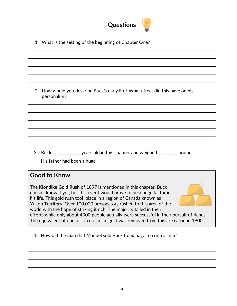

1. What is the setting of the beginning of Chapter One?

2. How would you describe Buck's early life? What affect did this have on his personality?

3. Buck is \_\_\_\_\_\_\_\_\_\_\_ years old in this chapter and weighed \_\_\_\_\_\_\_\_\_ pounds.

His father had been a huge \_\_\_\_\_\_\_\_\_\_\_\_\_\_\_\_\_\_\_\_\_.

### **Good to Know**

The **Klondike Gold Rush** of 1897 is mentioned in this chapter. Buck doesn't know it yet, but this event would prove to be a huge factor in his life. This gold rush took place in a region of Canada known as Yukon Territory. Over 100,000 prospectors rushed to this area of the world with the hope of striking it rich. The majority failed in their efforts while only about 4000 people actually were successful in their pursuit of riches. The equivalent of one billion dollars in gold was removed from this area around 1900.



4. How did the man that Manuel sold Buck to manage to control him?

9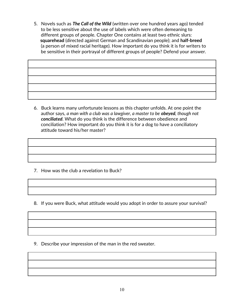5. Novels such as *The Call of the Wild* (written over one hundred years ago) tended to be less sensitive about the use of labels which were often demeaning to different groups of people. Chapter One contains at least two ethnic slurs:  **squarehead** (directed against German and Scandinavian people); and **half-breed** (a person of mixed racial heritage). How important do you think it is for writers to be sensitive in their portrayal of different groups of people? Defend your answer.

| <u> 2008 - Andrea San Andrea San Andrea San Andrea San Andrea San Andrea San Andrea San Andrea San Andrea San An</u>  |  |  |
|-----------------------------------------------------------------------------------------------------------------------|--|--|
| <u> 1986 - Jan Barbara de Barbara, poeta especial de la contrada de la contrada de la contrada de la contrada de</u>  |  |  |
| <u> 1989 - Andrea Andrew Maria (h. 1989).</u>                                                                         |  |  |
| <u> 1986 - An de Amerikaanse kommunister in de oorlog van de oorlog van de oorlog van de oorlog van de oorlog van</u> |  |  |
|                                                                                                                       |  |  |
|                                                                                                                       |  |  |

 6. Buck learns many unfortunate lessons as this chapter unfolds. At one point the author says, *a man with a club was a lawgiver, a master to be obeyed, though not conciliated.* What do you think is the difference between obedience and conciliation? How important do you think it is for a dog to have a conciliatory attitude toward his/her master?

- 7. How was the club a revelation to Buck?
- 8. If you were Buck, what attitude would you adopt in order to assure your survival?

9. Describe your impression of the man in the red sweater.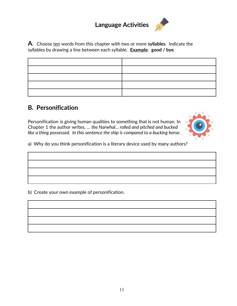## **Language Activities**



### **B***.* **Personification**

Personification is giving human qualities to something that is not human. In Chapter 1 the author writes, … *the Narwhal… rolled and pitched and bucked like a thing possessed. In this sentence the ship is compared to a bucking horse*.



a) Why do you think personification is a literary device used by many authors?

b) Create your own example of personification.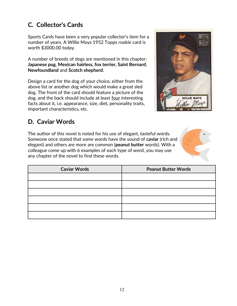## **C***.* **Collector's Cards**

Sports Cards have been a very popular collector's item for a number of years. A Willie Mays 1952 Topps rookie card is worth \$3000.00 today.

A number of breeds of dogs are mentioned in this chapter: **Japanese pug**, **Mexican hairless, fox terrier, Saint Bernard**, **Newfoundland** and **Scotch shepherd**.

Design a card for the dog of your choice, either from the above list or another dog which would make a great sled dog. The front of the card should feature a picture of the dog, and the back should include at least four interesting facts about it, i.e. appearance, size, diet, personality traits, important characteristics, etc.



## **D. Caviar Words**

The author of this novel is noted for his use of elegant, tasteful words. Someone once stated that some words have the sound of **caviar** (rich and elegant) and others are more are common (**peanut butter** words). With a colleague come up with 6 examples of each type of word, you may use any chapter of the novel to find these words.



| <b>Caviar Words</b> | <b>Peanut Butter Words</b> |  |
|---------------------|----------------------------|--|
|                     |                            |  |
|                     |                            |  |
|                     |                            |  |
|                     |                            |  |
|                     |                            |  |
|                     |                            |  |